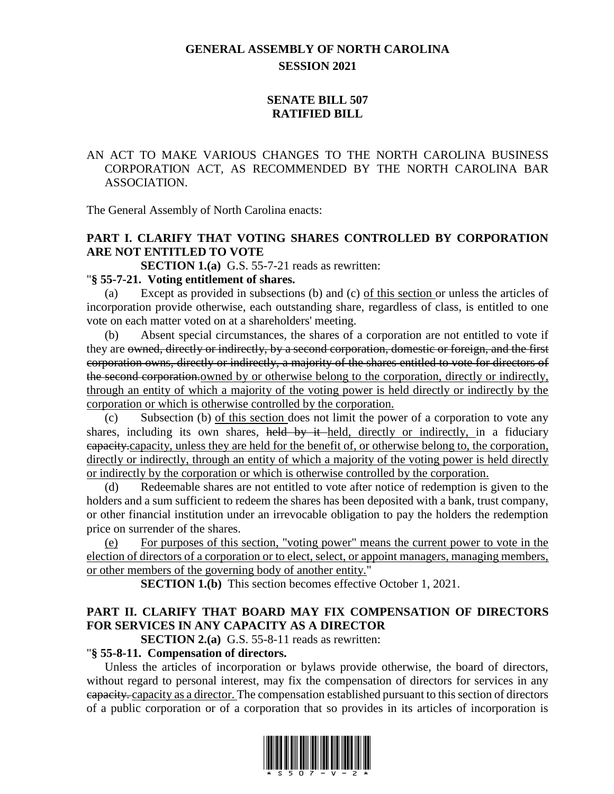# **GENERAL ASSEMBLY OF NORTH CAROLINA SESSION 2021**

## **SENATE BILL 507 RATIFIED BILL**

## AN ACT TO MAKE VARIOUS CHANGES TO THE NORTH CAROLINA BUSINESS CORPORATION ACT, AS RECOMMENDED BY THE NORTH CAROLINA BAR ASSOCIATION.

The General Assembly of North Carolina enacts:

# **PART I. CLARIFY THAT VOTING SHARES CONTROLLED BY CORPORATION ARE NOT ENTITLED TO VOTE**

**SECTION 1.(a)** G.S. 55-7-21 reads as rewritten:

#### "**§ 55-7-21. Voting entitlement of shares.**

Except as provided in subsections (b) and (c) of this section or unless the articles of incorporation provide otherwise, each outstanding share, regardless of class, is entitled to one vote on each matter voted on at a shareholders' meeting.

Absent special circumstances, the shares of a corporation are not entitled to vote if they are owned, directly or indirectly, by a second corporation, domestic or foreign, and the first corporation owns, directly or indirectly, a majority of the shares entitled to vote for directors of the second corporation. owned by or otherwise belong to the corporation, directly or indirectly, through an entity of which a majority of the voting power is held directly or indirectly by the corporation or which is otherwise controlled by the corporation.

(c) Subsection (b) of this section does not limit the power of a corporation to vote any shares, including its own shares, held by it held, directly or indirectly, in a fiduciary capacity.capacity, unless they are held for the benefit of, or otherwise belong to, the corporation, directly or indirectly, through an entity of which a majority of the voting power is held directly or indirectly by the corporation or which is otherwise controlled by the corporation.

(d) Redeemable shares are not entitled to vote after notice of redemption is given to the holders and a sum sufficient to redeem the shares has been deposited with a bank, trust company, or other financial institution under an irrevocable obligation to pay the holders the redemption price on surrender of the shares.

(e) For purposes of this section, "voting power" means the current power to vote in the election of directors of a corporation or to elect, select, or appoint managers, managing members, or other members of the governing body of another entity."

**SECTION 1.(b)** This section becomes effective October 1, 2021.

# **PART II. CLARIFY THAT BOARD MAY FIX COMPENSATION OF DIRECTORS FOR SERVICES IN ANY CAPACITY AS A DIRECTOR**

**SECTION 2.(a)** G.S. 55-8-11 reads as rewritten:

#### "**§ 55-8-11. Compensation of directors.**

Unless the articles of incorporation or bylaws provide otherwise, the board of directors, without regard to personal interest, may fix the compensation of directors for services in any capacity. capacity as a director. The compensation established pursuant to this section of directors of a public corporation or of a corporation that so provides in its articles of incorporation is

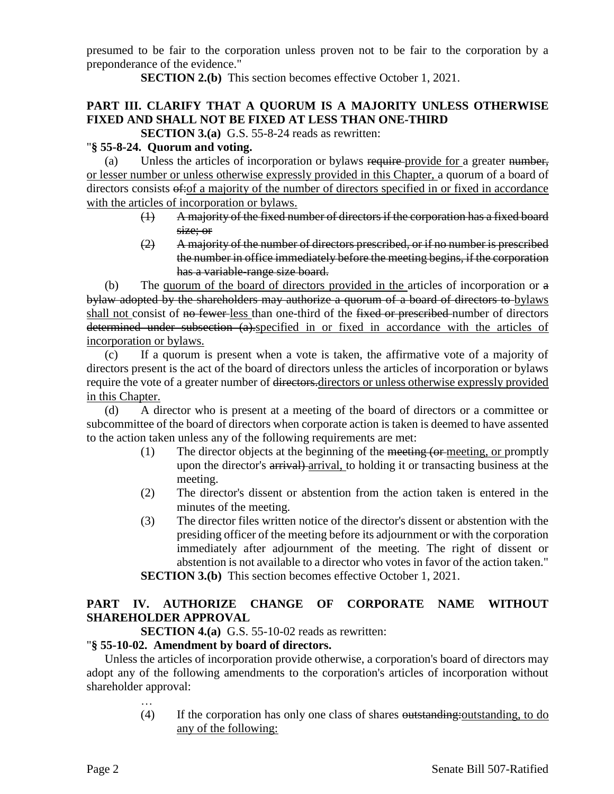presumed to be fair to the corporation unless proven not to be fair to the corporation by a preponderance of the evidence."

**SECTION 2.(b)** This section becomes effective October 1, 2021.

# **PART III. CLARIFY THAT A QUORUM IS A MAJORITY UNLESS OTHERWISE FIXED AND SHALL NOT BE FIXED AT LESS THAN ONE-THIRD**

**SECTION 3.(a)** G.S. 55-8-24 reads as rewritten:

## "**§ 55-8-24. Quorum and voting.**

(a) Unless the articles of incorporation or bylaws require-provide for a greater number, or lesser number or unless otherwise expressly provided in this Chapter, a quorum of a board of directors consists  $\theta$ :  $\theta$  a majority of the number of directors specified in or fixed in accordance with the articles of incorporation or bylaws.

- (1) A majority of the fixed number of directors if the corporation has a fixed board size; or
- (2) A majority of the number of directors prescribed, or if no number is prescribed the number in office immediately before the meeting begins, if the corporation has a variable-range size board.

(b) The quorum of the board of directors provided in the articles of incorporation or a bylaw adopted by the shareholders may authorize a quorum of a board of directors to bylaws shall not consist of no fewer less than one-third of the fixed or prescribed number of directors determined under subsection (a).specified in or fixed in accordance with the articles of incorporation or bylaws.

(c) If a quorum is present when a vote is taken, the affirmative vote of a majority of directors present is the act of the board of directors unless the articles of incorporation or bylaws require the vote of a greater number of directors.directors or unless otherwise expressly provided in this Chapter.

(d) A director who is present at a meeting of the board of directors or a committee or subcommittee of the board of directors when corporate action is taken is deemed to have assented to the action taken unless any of the following requirements are met:

- (1) The director objects at the beginning of the meeting (or meeting, or promptly upon the director's arrival) arrival, to holding it or transacting business at the meeting.
- (2) The director's dissent or abstention from the action taken is entered in the minutes of the meeting.
- (3) The director files written notice of the director's dissent or abstention with the presiding officer of the meeting before its adjournment or with the corporation immediately after adjournment of the meeting. The right of dissent or abstention is not available to a director who votes in favor of the action taken."

**SECTION 3.(b)** This section becomes effective October 1, 2021.

# **PART IV. AUTHORIZE CHANGE OF CORPORATE NAME WITHOUT SHAREHOLDER APPROVAL**

**SECTION 4.(a)** G.S. 55-10-02 reads as rewritten:

## "**§ 55-10-02. Amendment by board of directors.**

Unless the articles of incorporation provide otherwise, a corporation's board of directors may adopt any of the following amendments to the corporation's articles of incorporation without shareholder approval:

> … (4) If the corporation has only one class of shares outstanding:outstanding, to do any of the following: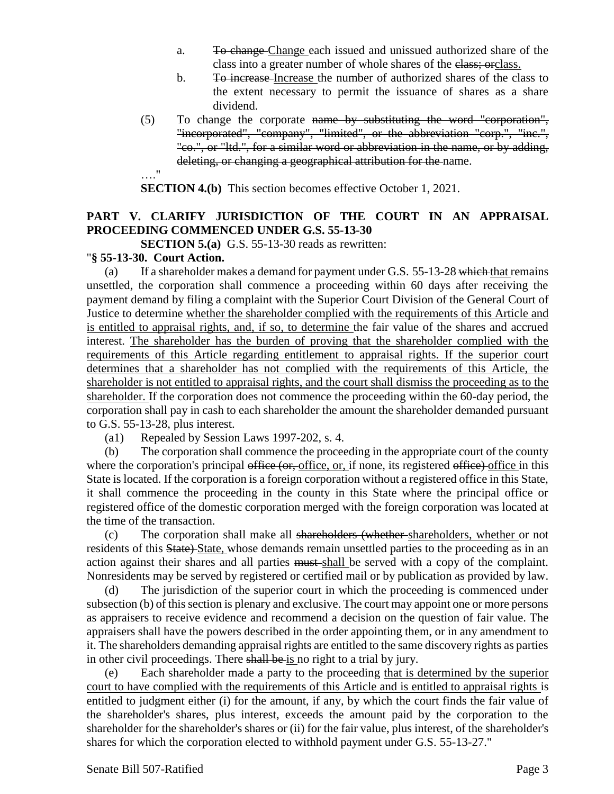- a. To change Change each issued and unissued authorized share of the class into a greater number of whole shares of the class; orclass.
- b. To increase Increase the number of authorized shares of the class to the extent necessary to permit the issuance of shares as a share dividend.
- (5) To change the corporate name by substituting the word "corporation", "incorporated", "company", "limited", or the abbreviation "corp.", "inc.", "co.", or "ltd.", for a similar word or abbreviation in the name, or by adding, deleting, or changing a geographical attribution for the name. …."

**SECTION 4.(b)** This section becomes effective October 1, 2021.

## **PART V. CLARIFY JURISDICTION OF THE COURT IN AN APPRAISAL PROCEEDING COMMENCED UNDER G.S. 55-13-30**

**SECTION 5.(a)** G.S. 55-13-30 reads as rewritten:

#### "**§ 55-13-30. Court Action.**

(a) If a shareholder makes a demand for payment under G.S.  $55-13-28$  which that remains unsettled, the corporation shall commence a proceeding within 60 days after receiving the payment demand by filing a complaint with the Superior Court Division of the General Court of Justice to determine whether the shareholder complied with the requirements of this Article and is entitled to appraisal rights, and, if so, to determine the fair value of the shares and accrued interest. The shareholder has the burden of proving that the shareholder complied with the requirements of this Article regarding entitlement to appraisal rights. If the superior court determines that a shareholder has not complied with the requirements of this Article, the shareholder is not entitled to appraisal rights, and the court shall dismiss the proceeding as to the shareholder. If the corporation does not commence the proceeding within the 60-day period, the corporation shall pay in cash to each shareholder the amount the shareholder demanded pursuant to G.S. 55-13-28, plus interest.

(a1) Repealed by Session Laws 1997-202, s. 4.

(b) The corporation shall commence the proceeding in the appropriate court of the county where the corporation's principal office (or, office, or, if none, its registered office) office in this State is located. If the corporation is a foreign corporation without a registered office in this State, it shall commence the proceeding in the county in this State where the principal office or registered office of the domestic corporation merged with the foreign corporation was located at the time of the transaction.

(c) The corporation shall make all shareholders (whether shareholders, whether or not residents of this State) State, whose demands remain unsettled parties to the proceeding as in an action against their shares and all parties must shall be served with a copy of the complaint. Nonresidents may be served by registered or certified mail or by publication as provided by law.

(d) The jurisdiction of the superior court in which the proceeding is commenced under subsection (b) of this section is plenary and exclusive. The court may appoint one or more persons as appraisers to receive evidence and recommend a decision on the question of fair value. The appraisers shall have the powers described in the order appointing them, or in any amendment to it. The shareholders demanding appraisal rights are entitled to the same discovery rights as parties in other civil proceedings. There shall be is no right to a trial by jury.

(e) Each shareholder made a party to the proceeding that is determined by the superior court to have complied with the requirements of this Article and is entitled to appraisal rights is entitled to judgment either (i) for the amount, if any, by which the court finds the fair value of the shareholder's shares, plus interest, exceeds the amount paid by the corporation to the shareholder for the shareholder's shares or (ii) for the fair value, plus interest, of the shareholder's shares for which the corporation elected to withhold payment under G.S. 55-13-27."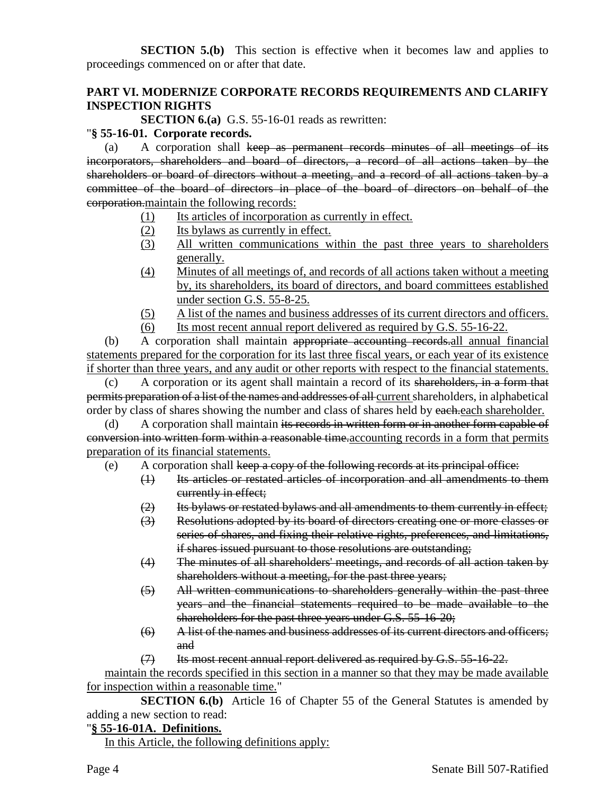**SECTION 5.(b)** This section is effective when it becomes law and applies to proceedings commenced on or after that date.

## **PART VI. MODERNIZE CORPORATE RECORDS REQUIREMENTS AND CLARIFY INSPECTION RIGHTS**

**SECTION 6.(a)** G.S. 55-16-01 reads as rewritten:

#### "**§ 55-16-01. Corporate records.**

(a) A corporation shall keep as permanent records minutes of all meetings of its incorporators, shareholders and board of directors, a record of all actions taken by the shareholders or board of directors without a meeting, and a record of all actions taken by a committee of the board of directors in place of the board of directors on behalf of the corporation.maintain the following records:

- (1) Its articles of incorporation as currently in effect.
- (2) Its bylaws as currently in effect.
- (3) All written communications within the past three years to shareholders generally.
- (4) Minutes of all meetings of, and records of all actions taken without a meeting by, its shareholders, its board of directors, and board committees established under section G.S. 55-8-25.
- (5) A list of the names and business addresses of its current directors and officers.
- (6) Its most recent annual report delivered as required by G.S. 55-16-22.

(b) A corporation shall maintain appropriate accounting records.all annual financial statements prepared for the corporation for its last three fiscal years, or each year of its existence if shorter than three years, and any audit or other reports with respect to the financial statements.

(c) A corporation or its agent shall maintain a record of its shareholders, in a form that permits preparation of a list of the names and addresses of all current shareholders, in alphabetical order by class of shares showing the number and class of shares held by each each shareholder.

(d) A corporation shall maintain its records in written form or in another form capable of conversion into written form within a reasonable time.accounting records in a form that permits preparation of its financial statements.

- (e) A corporation shall keep a copy of the following records at its principal office:
	- (1) Its articles or restated articles of incorporation and all amendments to them currently in effect;
	- (2) Its bylaws or restated bylaws and all amendments to them currently in effect;
	- (3) Resolutions adopted by its board of directors creating one or more classes or series of shares, and fixing their relative rights, preferences, and limitations, if shares issued pursuant to those resolutions are outstanding;
	- (4) The minutes of all shareholders' meetings, and records of all action taken by shareholders without a meeting, for the past three years;
	- (5) All written communications to shareholders generally within the past three years and the financial statements required to be made available to the shareholders for the past three years under G.S. 55-16-20;
	- (6) A list of the names and business addresses of its current directors and officers; and
	- (7) Its most recent annual report delivered as required by G.S. 55-16-22.

maintain the records specified in this section in a manner so that they may be made available for inspection within a reasonable time."

**SECTION 6.(b)** Article 16 of Chapter 55 of the General Statutes is amended by adding a new section to read:

#### "**§ 55-16-01A. Definitions.**

In this Article, the following definitions apply: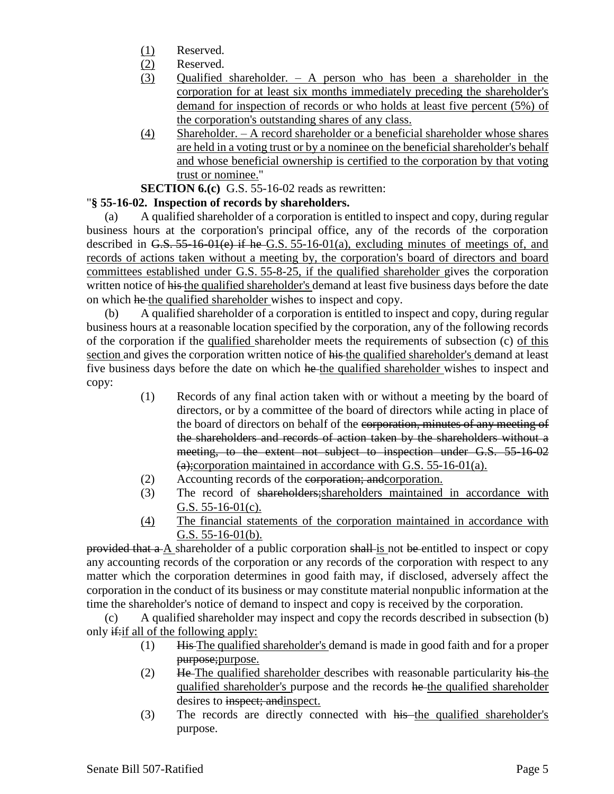- (1) Reserved.
- (2) Reserved.
- (3) Qualified shareholder. A person who has been a shareholder in the corporation for at least six months immediately preceding the shareholder's demand for inspection of records or who holds at least five percent (5%) of the corporation's outstanding shares of any class.
- (4) Shareholder. A record shareholder or a beneficial shareholder whose shares are held in a voting trust or by a nominee on the beneficial shareholder's behalf and whose beneficial ownership is certified to the corporation by that voting trust or nominee."

#### **SECTION 6.(c)** G.S. 55-16-02 reads as rewritten:

## "**§ 55-16-02. Inspection of records by shareholders.**

(a) A qualified shareholder of a corporation is entitled to inspect and copy, during regular business hours at the corporation's principal office, any of the records of the corporation described in G.S. 55-16-01(e) if he G.S. 55-16-01(a), excluding minutes of meetings of, and records of actions taken without a meeting by, the corporation's board of directors and board committees established under G.S. 55-8-25, if the qualified shareholder gives the corporation written notice of his the qualified shareholder's demand at least five business days before the date on which he the qualified shareholder wishes to inspect and copy.

(b) A qualified shareholder of a corporation is entitled to inspect and copy, during regular business hours at a reasonable location specified by the corporation, any of the following records of the corporation if the qualified shareholder meets the requirements of subsection (c) of this section and gives the corporation written notice of his the qualified shareholder's demand at least five business days before the date on which he the qualified shareholder wishes to inspect and copy:

- (1) Records of any final action taken with or without a meeting by the board of directors, or by a committee of the board of directors while acting in place of the board of directors on behalf of the corporation, minutes of any meeting of the shareholders and records of action taken by the shareholders without a meeting, to the extent not subject to inspection under G.S. 55-16-02  $(a)$ ;corporation maintained in accordance with G.S. 55-16-01(a).
- (2) Accounting records of the corporation; andcorporation.
- (3) The record of shareholders;shareholders maintained in accordance with G.S. 55-16-01(c).
- (4) The financial statements of the corporation maintained in accordance with G.S. 55-16-01(b).

provided that a A shareholder of a public corporation shall is not be entitled to inspect or copy any accounting records of the corporation or any records of the corporation with respect to any matter which the corporation determines in good faith may, if disclosed, adversely affect the corporation in the conduct of its business or may constitute material nonpublic information at the time the shareholder's notice of demand to inspect and copy is received by the corporation.

(c) A qualified shareholder may inspect and copy the records described in subsection (b) only  $\frac{d}{dx}$  all of the following apply:

- (1) His The qualified shareholder's demand is made in good faith and for a proper purpose;purpose.
- (2) He The qualified shareholder describes with reasonable particularity his the qualified shareholder's purpose and the records he the qualified shareholder desires to inspect; and inspect.
- (3) The records are directly connected with his the qualified shareholder's purpose.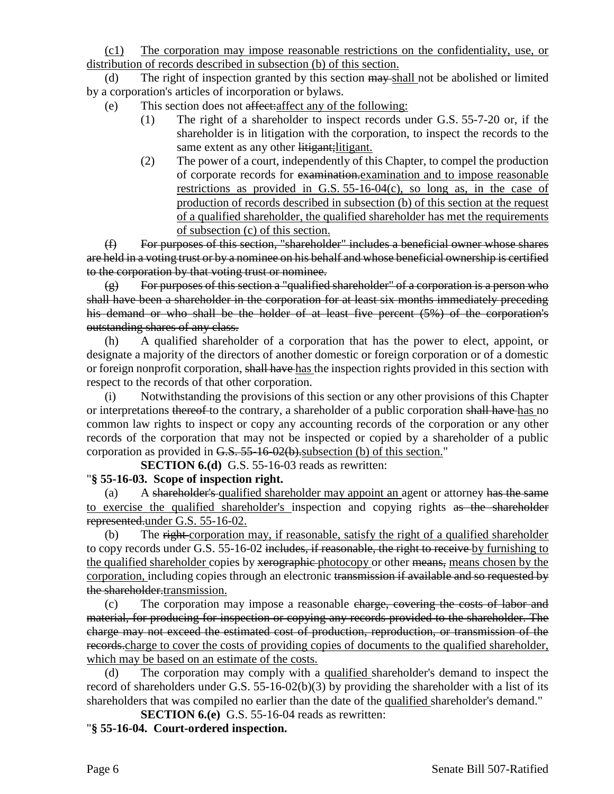(c1) The corporation may impose reasonable restrictions on the confidentiality, use, or distribution of records described in subsection (b) of this section.

(d) The right of inspection granted by this section may shall not be abolished or limited by a corporation's articles of incorporation or bylaws.

- (e) This section does not affect:affect any of the following:
	- (1) The right of a shareholder to inspect records under G.S. 55-7-20 or, if the shareholder is in litigation with the corporation, to inspect the records to the same extent as any other litigant; litigant.
	- (2) The power of a court, independently of this Chapter, to compel the production of corporate records for examination.examination and to impose reasonable restrictions as provided in G.S. 55-16-04(c), so long as, in the case of production of records described in subsection (b) of this section at the request of a qualified shareholder, the qualified shareholder has met the requirements of subsection (c) of this section.

(f) For purposes of this section, "shareholder" includes a beneficial owner whose shares are held in a voting trust or by a nominee on his behalf and whose beneficial ownership is certified to the corporation by that voting trust or nominee.

(g) For purposes of this section a "qualified shareholder" of a corporation is a person who shall have been a shareholder in the corporation for at least six months immediately preceding his demand or who shall be the holder of at least five percent (5%) of the corporation's outstanding shares of any class.

(h) A qualified shareholder of a corporation that has the power to elect, appoint, or designate a majority of the directors of another domestic or foreign corporation or of a domestic or foreign nonprofit corporation, shall have has the inspection rights provided in this section with respect to the records of that other corporation.

(i) Notwithstanding the provisions of this section or any other provisions of this Chapter or interpretations thereof to the contrary, a shareholder of a public corporation shall have has no common law rights to inspect or copy any accounting records of the corporation or any other records of the corporation that may not be inspected or copied by a shareholder of a public corporation as provided in G.S. 55-16-02(b). subsection (b) of this section."

**SECTION 6.(d)** G.S. 55-16-03 reads as rewritten:

## "**§ 55-16-03. Scope of inspection right.**

(a) A shareholder's qualified shareholder may appoint an agent or attorney has the same to exercise the qualified shareholder's inspection and copying rights as the shareholder represented.under G.S. 55-16-02.

(b) The right corporation may, if reasonable, satisfy the right of a qualified shareholder to copy records under G.S. 55-16-02 includes, if reasonable, the right to receive by furnishing to the qualified shareholder copies by xerographic photocopy or other means, means chosen by the corporation, including copies through an electronic transmission if available and so requested by the shareholder.transmission.

(c) The corporation may impose a reasonable charge, covering the costs of labor and material, for producing for inspection or copying any records provided to the shareholder. The charge may not exceed the estimated cost of production, reproduction, or transmission of the records.charge to cover the costs of providing copies of documents to the qualified shareholder, which may be based on an estimate of the costs.

(d) The corporation may comply with a qualified shareholder's demand to inspect the record of shareholders under G.S. 55-16-02(b)(3) by providing the shareholder with a list of its shareholders that was compiled no earlier than the date of the qualified shareholder's demand."

**SECTION 6.(e)** G.S. 55-16-04 reads as rewritten: "**§ 55-16-04. Court-ordered inspection.**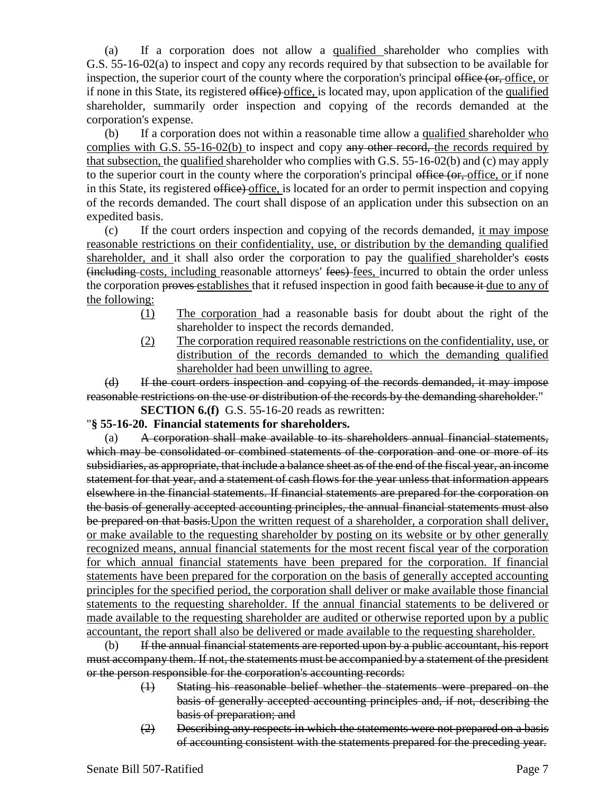(a) If a corporation does not allow a qualified shareholder who complies with G.S. 55-16-02(a) to inspect and copy any records required by that subsection to be available for inspection, the superior court of the county where the corporation's principal office (or, office, or if none in this State, its registered office) office, is located may, upon application of the qualified shareholder, summarily order inspection and copying of the records demanded at the corporation's expense.

(b) If a corporation does not within a reasonable time allow a qualified shareholder who complies with G.S. 55-16-02(b) to inspect and copy any other record, the records required by that subsection, the qualified shareholder who complies with G.S. 55-16-02(b) and (c) may apply to the superior court in the county where the corporation's principal office (or, office, or if none in this State, its registered office) office, is located for an order to permit inspection and copying of the records demanded. The court shall dispose of an application under this subsection on an expedited basis.

(c) If the court orders inspection and copying of the records demanded, it may impose reasonable restrictions on their confidentiality, use, or distribution by the demanding qualified shareholder, and it shall also order the corporation to pay the qualified shareholder's costs (including costs, including reasonable attorneys' fees) fees, incurred to obtain the order unless the corporation proves establishes that it refused inspection in good faith because it due to any of the following:

- (1) The corporation had a reasonable basis for doubt about the right of the shareholder to inspect the records demanded.
- (2) The corporation required reasonable restrictions on the confidentiality, use, or distribution of the records demanded to which the demanding qualified shareholder had been unwilling to agree.

(d) If the court orders inspection and copying of the records demanded, it may impose reasonable restrictions on the use or distribution of the records by the demanding shareholder."

**SECTION 6.(f)** G.S. 55-16-20 reads as rewritten:

"**§ 55-16-20. Financial statements for shareholders.**

(a) A corporation shall make available to its shareholders annual financial statements, which may be consolidated or combined statements of the corporation and one or more of its subsidiaries, as appropriate, that include a balance sheet as of the end of the fiscal year, an income statement for that year, and a statement of cash flows for the year unless that information appears elsewhere in the financial statements. If financial statements are prepared for the corporation on the basis of generally accepted accounting principles, the annual financial statements must also be prepared on that basis.Upon the written request of a shareholder, a corporation shall deliver, or make available to the requesting shareholder by posting on its website or by other generally recognized means, annual financial statements for the most recent fiscal year of the corporation for which annual financial statements have been prepared for the corporation. If financial statements have been prepared for the corporation on the basis of generally accepted accounting principles for the specified period, the corporation shall deliver or make available those financial statements to the requesting shareholder. If the annual financial statements to be delivered or made available to the requesting shareholder are audited or otherwise reported upon by a public accountant, the report shall also be delivered or made available to the requesting shareholder.

(b) If the annual financial statements are reported upon by a public accountant, his report must accompany them. If not, the statements must be accompanied by a statement of the president or the person responsible for the corporation's accounting records:

- (1) Stating his reasonable belief whether the statements were prepared on the basis of generally accepted accounting principles and, if not, describing the basis of preparation; and
- (2) Describing any respects in which the statements were not prepared on a basis of accounting consistent with the statements prepared for the preceding year.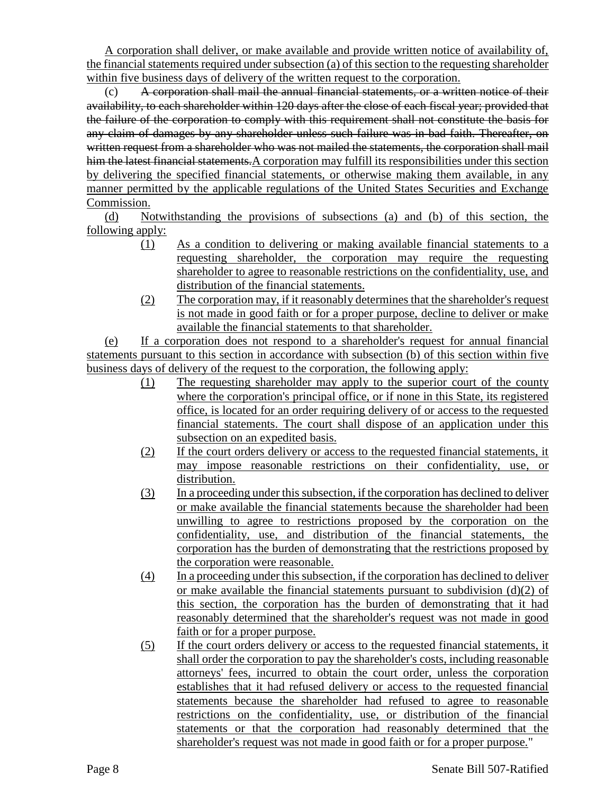A corporation shall deliver, or make available and provide written notice of availability of, the financial statements required under subsection (a) of this section to the requesting shareholder within five business days of delivery of the written request to the corporation.

(c) A corporation shall mail the annual financial statements, or a written notice of their availability, to each shareholder within 120 days after the close of each fiscal year; provided that the failure of the corporation to comply with this requirement shall not constitute the basis for any claim of damages by any shareholder unless such failure was in bad faith. Thereafter, on written request from a shareholder who was not mailed the statements, the corporation shall mail him the latest financial statements. A corporation may fulfill its responsibilities under this section by delivering the specified financial statements, or otherwise making them available, in any manner permitted by the applicable regulations of the United States Securities and Exchange Commission.

(d) Notwithstanding the provisions of subsections (a) and (b) of this section, the following apply:

- (1) As a condition to delivering or making available financial statements to a requesting shareholder, the corporation may require the requesting shareholder to agree to reasonable restrictions on the confidentiality, use, and distribution of the financial statements.
- (2) The corporation may, if it reasonably determines that the shareholder's request is not made in good faith or for a proper purpose, decline to deliver or make available the financial statements to that shareholder.

(e) If a corporation does not respond to a shareholder's request for annual financial statements pursuant to this section in accordance with subsection (b) of this section within five business days of delivery of the request to the corporation, the following apply:

- (1) The requesting shareholder may apply to the superior court of the county where the corporation's principal office, or if none in this State, its registered office, is located for an order requiring delivery of or access to the requested financial statements. The court shall dispose of an application under this subsection on an expedited basis.
- (2) If the court orders delivery or access to the requested financial statements, it may impose reasonable restrictions on their confidentiality, use, or distribution.
- (3) In a proceeding under this subsection, if the corporation has declined to deliver or make available the financial statements because the shareholder had been unwilling to agree to restrictions proposed by the corporation on the confidentiality, use, and distribution of the financial statements, the corporation has the burden of demonstrating that the restrictions proposed by the corporation were reasonable.
- (4) In a proceeding under this subsection, if the corporation has declined to deliver or make available the financial statements pursuant to subdivision  $(d)(2)$  of this section, the corporation has the burden of demonstrating that it had reasonably determined that the shareholder's request was not made in good faith or for a proper purpose.
- (5) If the court orders delivery or access to the requested financial statements, it shall order the corporation to pay the shareholder's costs, including reasonable attorneys' fees, incurred to obtain the court order, unless the corporation establishes that it had refused delivery or access to the requested financial statements because the shareholder had refused to agree to reasonable restrictions on the confidentiality, use, or distribution of the financial statements or that the corporation had reasonably determined that the shareholder's request was not made in good faith or for a proper purpose."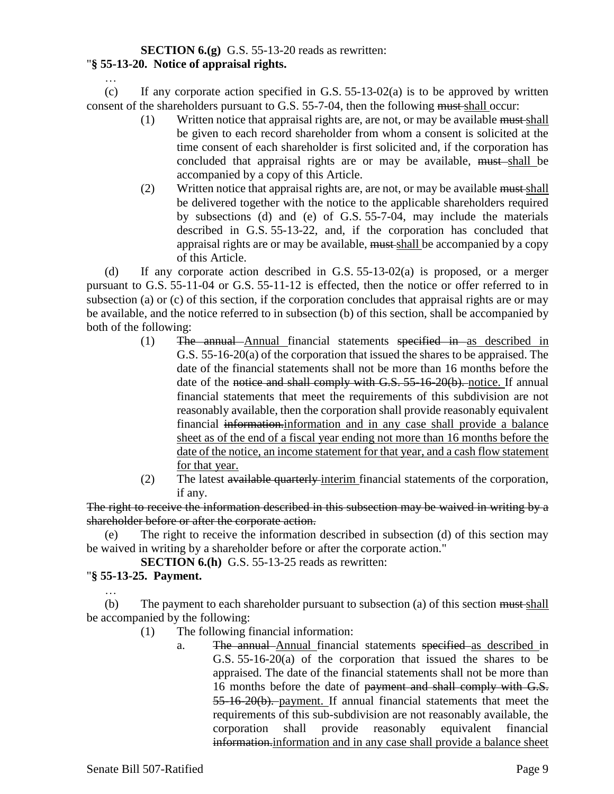# **SECTION 6.(g)** G.S. 55-13-20 reads as rewritten:

#### "**§ 55-13-20. Notice of appraisal rights.** …

(c) If any corporate action specified in G.S.  $55-13-02(a)$  is to be approved by written consent of the shareholders pursuant to G.S. 55-7-04, then the following must shall occur:

- (1) Written notice that appraisal rights are, are not, or may be available must shall be given to each record shareholder from whom a consent is solicited at the time consent of each shareholder is first solicited and, if the corporation has concluded that appraisal rights are or may be available, must shall be accompanied by a copy of this Article.
- (2) Written notice that appraisal rights are, are not, or may be available must shall be delivered together with the notice to the applicable shareholders required by subsections (d) and (e) of G.S. 55-7-04, may include the materials described in G.S. 55-13-22, and, if the corporation has concluded that appraisal rights are or may be available, must shall be accompanied by a copy of this Article.

(d) If any corporate action described in G.S. 55-13-02(a) is proposed, or a merger pursuant to G.S. 55-11-04 or G.S. 55-11-12 is effected, then the notice or offer referred to in subsection (a) or (c) of this section, if the corporation concludes that appraisal rights are or may be available, and the notice referred to in subsection (b) of this section, shall be accompanied by both of the following:

- (1) The annual Annual financial statements specified in as described in G.S. 55-16-20(a) of the corporation that issued the shares to be appraised. The date of the financial statements shall not be more than 16 months before the date of the notice and shall comply with G.S. 55-16-20(b), notice. If annual financial statements that meet the requirements of this subdivision are not reasonably available, then the corporation shall provide reasonably equivalent financial information.information and in any case shall provide a balance sheet as of the end of a fiscal year ending not more than 16 months before the date of the notice, an income statement for that year, and a cash flow statement for that year.
- (2) The latest available quarterly interim financial statements of the corporation, if any.

The right to receive the information described in this subsection may be waived in writing by a shareholder before or after the corporate action.

(e) The right to receive the information described in subsection (d) of this section may be waived in writing by a shareholder before or after the corporate action."

**SECTION 6.(h)** G.S. 55-13-25 reads as rewritten:

## "**§ 55-13-25. Payment.**

…

(b) The payment to each shareholder pursuant to subsection (a) of this section  $\frac{m}{m}$  shall be accompanied by the following:

- (1) The following financial information:
	- a. The annual Annual financial statements specified as described in G.S. 55-16-20(a) of the corporation that issued the shares to be appraised. The date of the financial statements shall not be more than 16 months before the date of payment and shall comply with G.S. 55-16-20(b). payment. If annual financial statements that meet the requirements of this sub-subdivision are not reasonably available, the corporation shall provide reasonably equivalent financial information.information and in any case shall provide a balance sheet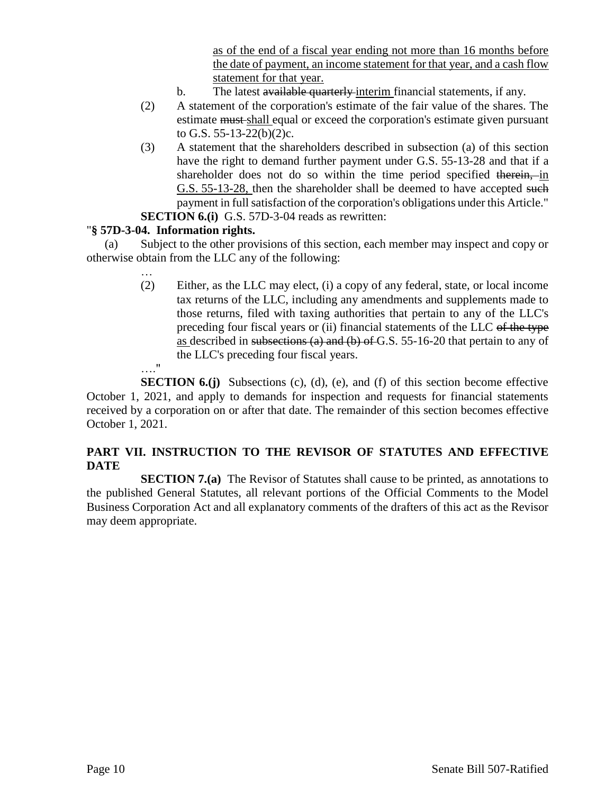as of the end of a fiscal year ending not more than 16 months before the date of payment, an income statement for that year, and a cash flow statement for that year.

- b. The latest available quarterly interim financial statements, if any.
- (2) A statement of the corporation's estimate of the fair value of the shares. The estimate must shall equal or exceed the corporation's estimate given pursuant to G.S. 55-13-22(b)(2)c.
- (3) A statement that the shareholders described in subsection (a) of this section have the right to demand further payment under G.S. 55-13-28 and that if a shareholder does not do so within the time period specified therein, in G.S. 55-13-28, then the shareholder shall be deemed to have accepted such payment in full satisfaction of the corporation's obligations under this Article."
- **SECTION 6.(i)** G.S. 57D-3-04 reads as rewritten:

#### "**§ 57D-3-04. Information rights.**

(a) Subject to the other provisions of this section, each member may inspect and copy or otherwise obtain from the LLC any of the following:

> … (2) Either, as the LLC may elect, (i) a copy of any federal, state, or local income tax returns of the LLC, including any amendments and supplements made to those returns, filed with taxing authorities that pertain to any of the LLC's preceding four fiscal years or (ii) financial statements of the LLC of the type as described in subsections (a) and (b) of G.S. 55-16-20 that pertain to any of the LLC's preceding four fiscal years. …."

**SECTION 6.(j)** Subsections (c), (d), (e), and (f) of this section become effective October 1, 2021, and apply to demands for inspection and requests for financial statements received by a corporation on or after that date. The remainder of this section becomes effective October 1, 2021.

# **PART VII. INSTRUCTION TO THE REVISOR OF STATUTES AND EFFECTIVE DATE**

**SECTION 7.(a)** The Revisor of Statutes shall cause to be printed, as annotations to the published General Statutes, all relevant portions of the Official Comments to the Model Business Corporation Act and all explanatory comments of the drafters of this act as the Revisor may deem appropriate.